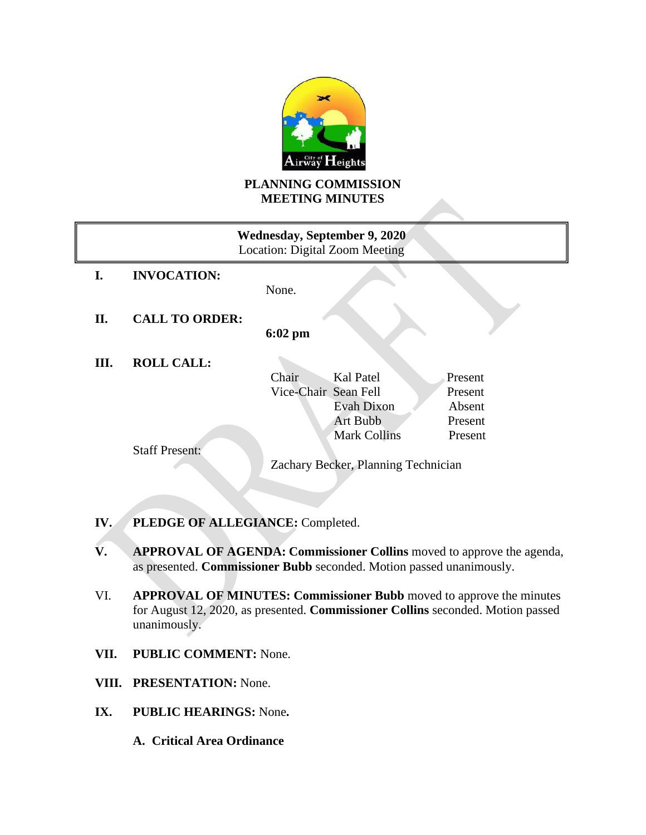

# **PLANNING COMMISSION MEETING MINUTES**

| <b>Wednesday, September 9, 2020</b><br>Location: Digital Zoom Meeting |  |  |  |
|-----------------------------------------------------------------------|--|--|--|
|                                                                       |  |  |  |
|                                                                       |  |  |  |
|                                                                       |  |  |  |
|                                                                       |  |  |  |
|                                                                       |  |  |  |
| Present                                                               |  |  |  |
| Present                                                               |  |  |  |
| Absent                                                                |  |  |  |
| Present                                                               |  |  |  |
| Present                                                               |  |  |  |
|                                                                       |  |  |  |
| Zachary Becker, Planning Technician                                   |  |  |  |
|                                                                       |  |  |  |

- **IV. PLEDGE OF ALLEGIANCE:** Completed.
- **V. APPROVAL OF AGENDA: Commissioner Collins** moved to approve the agenda, as presented. **Commissioner Bubb** seconded. Motion passed unanimously.
- VI. **APPROVAL OF MINUTES: Commissioner Bubb** moved to approve the minutes for August 12, 2020, as presented. **Commissioner Collins** seconded. Motion passed unanimously.
- **VII. PUBLIC COMMENT:** None.
- **VIII. PRESENTATION:** None.
- **IX. PUBLIC HEARINGS:** None**.**
	- **A. Critical Area Ordinance**